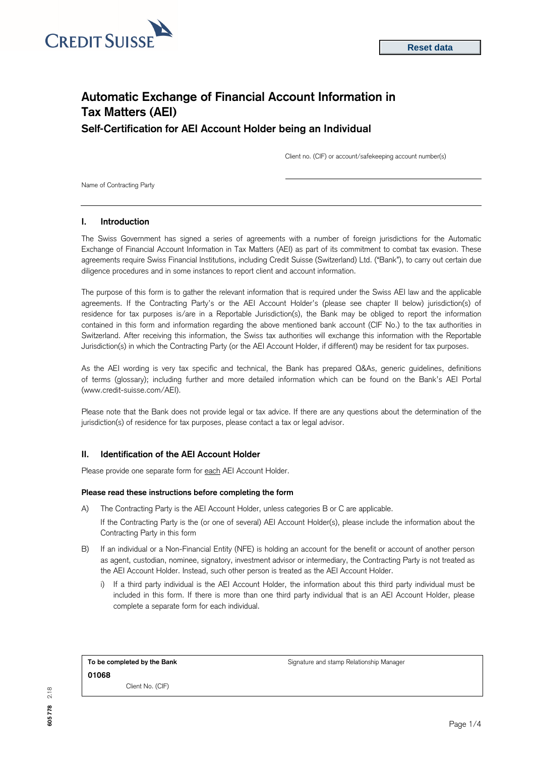

# **Automatic Exchange of Financial Account Information in Tax Matters (AEI) Self-Certification for AEI Account Holder being an Individual**

Client no. (CIF) or account/safekeeping account number(s)

Name of Contracting Party

#### **I. Introduction**

The Swiss Government has signed a series of agreements with a number of foreign jurisdictions for the Automatic Exchange of Financial Account Information in Tax Matters (AEI) as part of its commitment to combat tax evasion. These agreements require Swiss Financial Institutions, including Credit Suisse (Switzerland) Ltd. ("Bank"), to carry out certain due diligence procedures and in some instances to report client and account information.

The purpose of this form is to gather the relevant information that is required under the Swiss AEI law and the applicable agreements. If the Contracting Party's or the AEI Account Holder's (please see chapter II below) jurisdiction(s) of residence for tax purposes is/are in a Reportable Jurisdiction(s), the Bank may be obliged to report the information contained in this form and information regarding the above mentioned bank account (CIF No.) to the tax authorities in Switzerland. After receiving this information, the Swiss tax authorities will exchange this information with the Reportable Jurisdiction(s) in which the Contracting Party (or the AEI Account Holder, if different) may be resident for tax purposes.

As the AEI wording is very tax specific and technical, the Bank has prepared Q&As, generic guidelines, definitions of terms (glossary); including further and more detailed information which can be found on the Bank's AEI Portal [\(www.credit-suisse.com/AEI\).](http://www.credit-suisse.com/AEI)

Please note that the Bank does not provide legal or tax advice. If there are any questions about the determination of the jurisdiction(s) of residence for tax purposes, please contact a tax or legal advisor.

### **II. Identification of the AEI Account Holder**

Please provide one separate form for each AEI Account Holder.

#### **Please read these instructions before completing the form**

A) The Contracting Party is the AEI Account Holder, unless categories B or C are applicable.

If the Contracting Party is the (or one of several) AEI Account Holder(s), please include the information about the Contracting Party in this form

- B) If an individual or a Non-Financial Entity (NFE) is holding an account for the benefit or account of another person as agent, custodian, nominee, signatory, investment advisor or intermediary, the Contracting Party is not treated as the AEI Account Holder. Instead, such other person is treated as the AEI Account Holder.
	- i) If a third party individual is the AEI Account Holder, the information about this third party individual must be included in this form. If there is more than one third party individual that is an AEI Account Holder, please complete a separate form for each individual.

| To be completed by the Bank |                  |  |  |  |
|-----------------------------|------------------|--|--|--|
| 01068                       |                  |  |  |  |
|                             | Client No. (CIF) |  |  |  |

**To be completed by the Bank** Signature and stamp Relationship Manager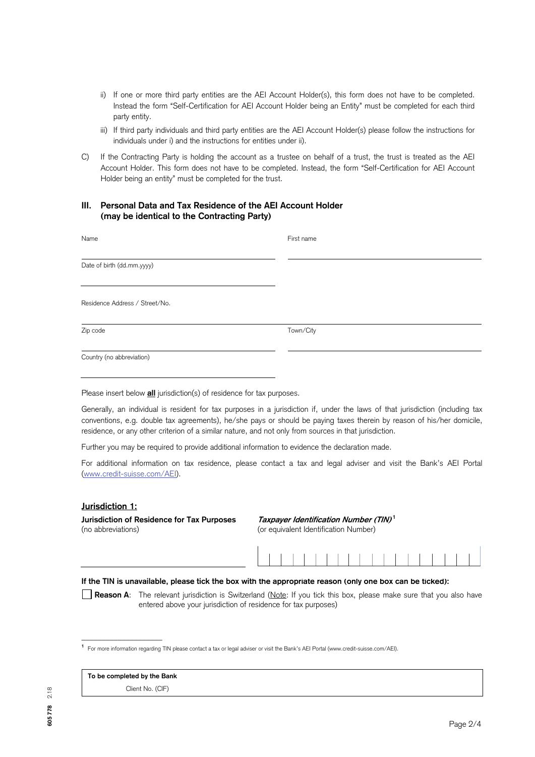- ii) If one or more third party entities are the AEI Account Holder(s), this form does not have to be completed. Instead the form "Self-Certification for AEI Account Holder being an Entity" must be completed for each third party entity.
- iii) If third party individuals and third party entities are the AEI Account Holder(s) please follow the instructions for individuals under i) and the instructions for entities under ii).
- C) If the Contracting Party is holding the account as a trustee on behalf of a trust, the trust is treated as the AEI Account Holder. This form does not have to be completed. Instead, the form "Self-Certification for AEI Account Holder being an entity" must be completed for the trust.

## **III. Personal Data and Tax Residence of the AEI Account Holder (may be identical to the Contracting Party)**

| Name                           | First name |
|--------------------------------|------------|
| Date of birth (dd.mm.yyyy)     |            |
| Residence Address / Street/No. |            |
| Zip code                       | Town/City  |
| Country (no abbreviation)      |            |

Please insert below **all** jurisdiction(s) of residence for tax purposes.

Generally, an individual is resident for tax purposes in a jurisdiction if, under the laws of that jurisdiction (including tax conventions, e.g. double tax agreements), he/she pays or should be paying taxes therein by reason of his/her domicile, residence, or any other criterion of a similar nature, and not only from sources in that jurisdiction.

Further you may be required to provide additional information to evidence the declaration made.

For additional information on tax residence, please contact a tax and legal adviser and visit the Bank's AEI Portal [\(www.credit-suisse.com/AEI\).](http://www.credit-suisse.com/AEI)

### **Jurisdiction 1:**

**Jurisdiction of Residence for Tax Purposes Taxpayer Identification Number (TIN)<sup>1</sup>** (no abbreviations) (or equivalent Identification Number)

#### **If the TIN is unavailable, please tick the box with the appropriate reason (only one box can be ticked):**

**Reason A**: The relevant jurisdiction is Switzerland (Note: If you tick this box, please make sure that you also have entered above your jurisdiction of residence for tax purposes)

|  |  | To be completed by the Bank |  |  |
|--|--|-----------------------------|--|--|
|--|--|-----------------------------|--|--|

\_\_\_\_\_\_\_\_\_\_\_\_\_\_\_\_\_\_\_\_

Client No. (CIF)

**<sup>1</sup>**For more information regarding TIN please contact a tax or legal adviser or visit the Bank's AEI Portal (www.credit-suisse.com/AEI).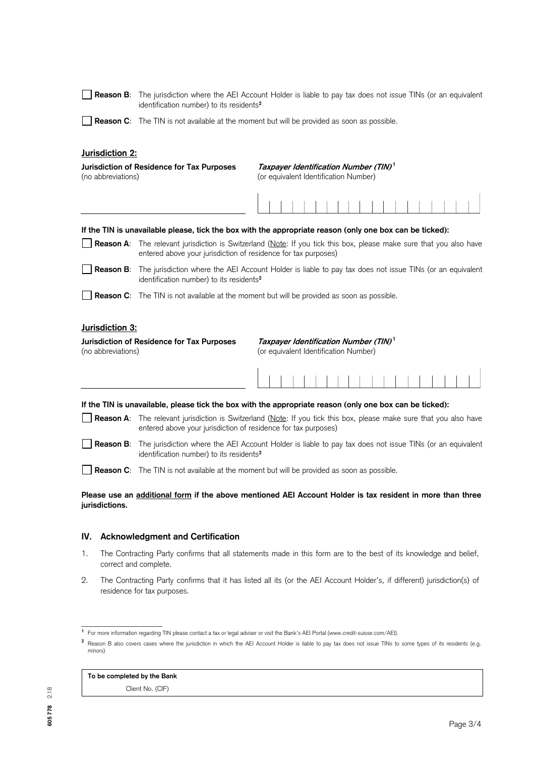|                                                                                                                                                                | Reason B: The jurisdiction where the AEI Account Holder is liable to pay tax does not issue TINs (or an equivalent<br>identification number) to its residents <sup>2</sup>            |                                                                                                            |  |
|----------------------------------------------------------------------------------------------------------------------------------------------------------------|---------------------------------------------------------------------------------------------------------------------------------------------------------------------------------------|------------------------------------------------------------------------------------------------------------|--|
|                                                                                                                                                                | <b>Reason C:</b> The TIN is not available at the moment but will be provided as soon as possible.                                                                                     |                                                                                                            |  |
| Jurisdiction 2:                                                                                                                                                |                                                                                                                                                                                       |                                                                                                            |  |
| (no abbreviations)                                                                                                                                             | Jurisdiction of Residence for Tax Purposes                                                                                                                                            | Taxpayer Identification Number (TIN) <sup>1</sup><br>(or equivalent Identification Number)                 |  |
|                                                                                                                                                                |                                                                                                                                                                                       |                                                                                                            |  |
|                                                                                                                                                                |                                                                                                                                                                                       | If the TIN is unavailable please, tick the box with the appropriate reason (only one box can be ticked):   |  |
|                                                                                                                                                                | Reason A: The relevant jurisdiction is Switzerland (Note: If you tick this box, please make sure that you also have<br>entered above your jurisdiction of residence for tax purposes) |                                                                                                            |  |
|                                                                                                                                                                | <b>Reason B:</b> The jurisdiction where the AEI Account Holder is liable to pay tax does not issue TINs (or an equivalent<br>identification number) to its residents <sup>2</sup>     |                                                                                                            |  |
|                                                                                                                                                                | <b>Reason C:</b> The TIN is not available at the moment but will be provided as soon as possible.                                                                                     |                                                                                                            |  |
| Jurisdiction 3:                                                                                                                                                |                                                                                                                                                                                       |                                                                                                            |  |
| Taxpayer Identification Number (TIN) <sup>1</sup><br>Jurisdiction of Residence for Tax Purposes<br>(no abbreviations)<br>(or equivalent Identification Number) |                                                                                                                                                                                       |                                                                                                            |  |
|                                                                                                                                                                |                                                                                                                                                                                       |                                                                                                            |  |
|                                                                                                                                                                |                                                                                                                                                                                       | If the TIN is unavailable, please tick the box with the appropriate reason (only one box can be ticked):   |  |
|                                                                                                                                                                | Reason A: The relevant jurisdiction is Switzerland (Note: If you tick this box, please make sure that you also have<br>entered above your jurisdiction of residence for tax purposes) |                                                                                                            |  |
| <b>Reason B:</b>                                                                                                                                               | The jurisdiction where the AEI Account Holder is liable to pay tax does not issue TINs (or an equivalent<br>identification number) to its residents <sup>2</sup>                      |                                                                                                            |  |
|                                                                                                                                                                | <b>Reason C:</b> The TIN is not available at the moment but will be provided as soon as possible.                                                                                     |                                                                                                            |  |
| jurisdictions.                                                                                                                                                 |                                                                                                                                                                                       | Please use an additional form if the above mentioned AEI Account Holder is tax resident in more than three |  |

## **IV. Acknowledgment and Certification**

- 1. The Contracting Party confirms that all statements made in this form are to the best of its knowledge and belief, correct and complete.
- 2. The Contracting Party confirms that it has listed all its (or the AEI Account Holder's, if different) jurisdiction(s) of residence for tax purposes.

\_\_\_\_\_\_\_\_\_\_\_\_\_\_\_\_\_\_\_\_

Client No. (CIF)

**<sup>1</sup>**For more information regarding TIN please contact a tax or legal adviser or visit the Bank's AEI Portal (www.credit-suisse.com/AEI).

<sup>&</sup>lt;sup>2</sup> Reason B also covers cases where the jurisdiction in which the AEI Account Holder is liable to pay tax does not issue TINs to some types of its residents (e.g. minors)